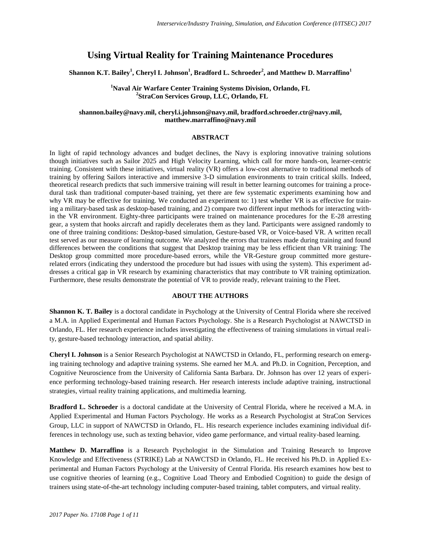## **Using Virtual Reality for Training Maintenance Procedures**

**Shannon K.T. Bailey<sup>1</sup> , Cheryl I. Johnson<sup>1</sup> , Bradford L. Schroeder<sup>2</sup> , and Matthew D. Marraffino<sup>1</sup>**

**<sup>1</sup>Naval Air Warfare Center Training Systems Division, Orlando, FL 2 StraCon Services Group, LLC, Orlando, FL**

## **shannon.bailey@navy.mil, cheryl.i.johnson@navy.mil, bradford.schroeder.ctr@navy.mil, matthew.marraffino@navy.mil**

#### **ABSTRACT**

In light of rapid technology advances and budget declines, the Navy is exploring innovative training solutions though initiatives such as Sailor 2025 and High Velocity Learning, which call for more hands-on, learner-centric training. Consistent with these initiatives, virtual reality (VR) offers a low-cost alternative to traditional methods of training by offering Sailors interactive and immersive 3-D simulation environments to train critical skills. Indeed, theoretical research predicts that such immersive training will result in better learning outcomes for training a procedural task than traditional computer-based training, yet there are few systematic experiments examining how and why VR may be effective for training. We conducted an experiment to: 1) test whether VR is as effective for training a military-based task as desktop-based training, and 2) compare two different input methods for interacting within the VR environment. Eighty-three participants were trained on maintenance procedures for the E-28 arresting gear, a system that hooks aircraft and rapidly decelerates them as they land. Participants were assigned randomly to one of three training conditions: Desktop-based simulation, Gesture-based VR, or Voice-based VR. A written recall test served as our measure of learning outcome. We analyzed the errors that trainees made during training and found differences between the conditions that suggest that Desktop training may be less efficient than VR training: The Desktop group committed more procedure-based errors, while the VR-Gesture group committed more gesturerelated errors (indicating they understood the procedure but had issues with using the system). This experiment addresses a critical gap in VR research by examining characteristics that may contribute to VR training optimization. Furthermore, these results demonstrate the potential of VR to provide ready, relevant training to the Fleet.

## **ABOUT THE AUTHORS**

**Shannon K. T. Bailey** is a doctoral candidate in Psychology at the University of Central Florida where she received a M.A. in Applied Experimental and Human Factors Psychology. She is a Research Psychologist at NAWCTSD in Orlando, FL. Her research experience includes investigating the effectiveness of training simulations in virtual reality, gesture-based technology interaction, and spatial ability.

**Cheryl I. Johnson** is a Senior Research Psychologist at NAWCTSD in Orlando, FL, performing research on emerging training technology and adaptive training systems. She earned her M.A. and Ph.D. in Cognition, Perception, and Cognitive Neuroscience from the University of California Santa Barbara. Dr. Johnson has over 12 years of experience performing technology-based training research. Her research interests include adaptive training, instructional strategies, virtual reality training applications, and multimedia learning.

**Bradford L. Schroeder** is a doctoral candidate at the University of Central Florida, where he received a M.A. in Applied Experimental and Human Factors Psychology. He works as a Research Psychologist at StraCon Services Group, LLC in support of NAWCTSD in Orlando, FL. His research experience includes examining individual differences in technology use, such as texting behavior, video game performance, and virtual reality-based learning.

**Matthew D. Marraffino** is a Research Psychologist in the Simulation and Training Research to Improve Knowledge and Effectiveness (STRIKE) Lab at NAWCTSD in Orlando, FL. He received his Ph.D. in Applied Experimental and Human Factors Psychology at the University of Central Florida. His research examines how best to use cognitive theories of learning (e.g., Cognitive Load Theory and Embodied Cognition) to guide the design of trainers using state-of-the-art technology including computer-based training, tablet computers, and virtual reality.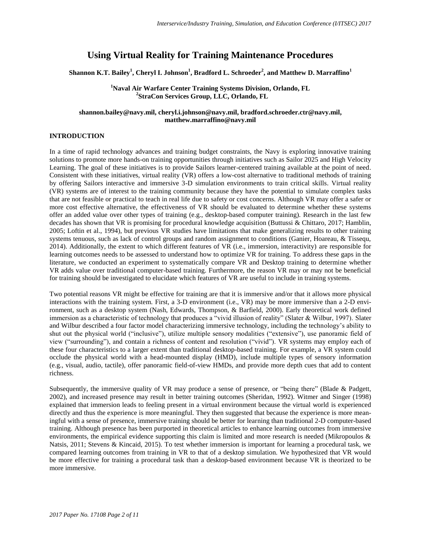# **Using Virtual Reality for Training Maintenance Procedures**

**Shannon K.T. Bailey<sup>1</sup> , Cheryl I. Johnson<sup>1</sup> , Bradford L. Schroeder<sup>2</sup> , and Matthew D. Marraffino<sup>1</sup>**

**<sup>1</sup>Naval Air Warfare Center Training Systems Division, Orlando, FL 2 StraCon Services Group, LLC, Orlando, FL**

## **shannon.bailey@navy.mil, cheryl.i.johnson@navy.mil, bradford.schroeder.ctr@navy.mil, matthew.marraffino@navy.mil**

## **INTRODUCTION**

In a time of rapid technology advances and training budget constraints, the Navy is exploring innovative training solutions to promote more hands-on training opportunities through initiatives such as Sailor 2025 and High Velocity Learning. The goal of these initiatives is to provide Sailors learner-centered training available at the point of need. Consistent with these initiatives, virtual reality (VR) offers a low-cost alternative to traditional methods of training by offering Sailors interactive and immersive 3-D simulation environments to train critical skills. Virtual reality (VR) systems are of interest to the training community because they have the potential to simulate complex tasks that are not feasible or practical to teach in real life due to safety or cost concerns. Although VR may offer a safer or more cost effective alternative, the effectiveness of VR should be evaluated to determine whether these systems offer an added value over other types of training (e.g., desktop-based computer training). Research in the last few decades has shown that VR is promising for procedural knowledge acquisition (Buttussi & Chittaro, 2017; Hamblin, 2005; Loftin et al., 1994), but previous VR studies have limitations that make generalizing results to other training systems tenuous, such as lack of control groups and random assignment to conditions (Ganier, Hoareau, & Tissequ, 2014). Additionally, the extent to which different features of VR (i.e., immersion, interactivity) are responsible for learning outcomes needs to be assessed to understand how to optimize VR for training. To address these gaps in the literature, we conducted an experiment to systematically compare VR and Desktop training to determine whether VR adds value over traditional computer-based training. Furthermore, the reason VR may or may not be beneficial for training should be investigated to elucidate which features of VR are useful to include in training systems.

Two potential reasons VR might be effective for training are that it is immersive and/or that it allows more physical interactions with the training system. First, a 3-D environment (i.e., VR) may be more immersive than a 2-D environment, such as a desktop system (Nash, Edwards, Thompson, & Barfield, 2000). Early theoretical work defined immersion as a characteristic of technology that produces a "vivid illusion of reality" (Slater & Wilbur, 1997). Slater and Wilbur described a four factor model characterizing immersive technology, including the technology's ability to shut out the physical world ("inclusive"), utilize multiple sensory modalities ("extensive"), use panoramic field of view ("surrounding"), and contain a richness of content and resolution ("vivid"). VR systems may employ each of these four characteristics to a larger extent than traditional desktop-based training. For example, a VR system could occlude the physical world with a head-mounted display (HMD), include multiple types of sensory information (e.g., visual, audio, tactile), offer panoramic field-of-view HMDs, and provide more depth cues that add to content richness.

Subsequently, the immersive quality of VR may produce a sense of presence, or "being there" (Blade & Padgett, 2002), and increased presence may result in better training outcomes (Sheridan, 1992). Witmer and Singer (1998) explained that immersion leads to feeling present in a virtual environment because the virtual world is experienced directly and thus the experience is more meaningful. They then suggested that because the experience is more meaningful with a sense of presence, immersive training should be better for learning than traditional 2-D computer-based training. Although presence has been purported in theoretical articles to enhance learning outcomes from immersive environments, the empirical evidence supporting this claim is limited and more research is needed (Mikropoulos & Natsis, 2011; Stevens & Kincaid, 2015). To test whether immersion is important for learning a procedural task, we compared learning outcomes from training in VR to that of a desktop simulation. We hypothesized that VR would be more effective for training a procedural task than a desktop-based environment because VR is theorized to be more immersive.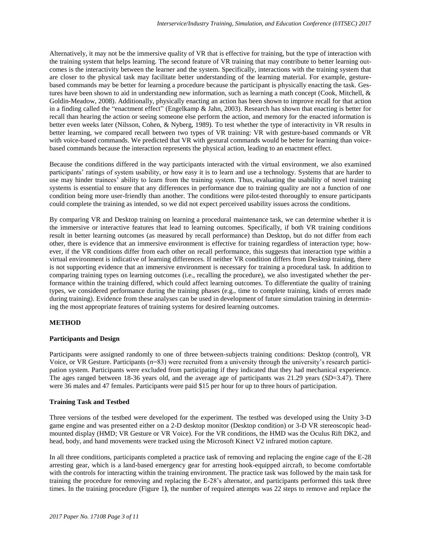Alternatively, it may not be the immersive quality of VR that is effective for training, but the type of interaction with the training system that helps learning. The second feature of VR training that may contribute to better learning outcomes is the interactivity between the learner and the system. Specifically, interactions with the training system that are closer to the physical task may facilitate better understanding of the learning material. For example, gesturebased commands may be better for learning a procedure because the participant is physically enacting the task. Gestures have been shown to aid in understanding new information, such as learning a math concept (Cook, Mitchell, & Goldin-Meadow, 2008). Additionally, physically enacting an action has been shown to improve recall for that action in a finding called the "enactment effect" (Engelkamp & Jahn, 2003). Research has shown that enacting is better for recall than hearing the action or seeing someone else perform the action, and memory for the enacted information is better even weeks later (Nilsson, Cohen, & Nyberg, 1989). To test whether the type of interactivity in VR results in better learning, we compared recall between two types of VR training: VR with gesture-based commands or VR with voice-based commands. We predicted that VR with gestural commands would be better for learning than voicebased commands because the interaction represents the physical action, leading to an enactment effect.

Because the conditions differed in the way participants interacted with the virtual environment, we also examined participants' ratings of system usability, or how easy it is to learn and use a technology. Systems that are harder to use may hinder trainees' ability to learn from the training system. Thus, evaluating the usability of novel training systems is essential to ensure that any differences in performance due to training quality are not a function of one condition being more user-friendly than another. The conditions were pilot-tested thoroughly to ensure participants could complete the training as intended, so we did not expect perceived usability issues across the conditions.

By comparing VR and Desktop training on learning a procedural maintenance task, we can determine whether it is the immersive or interactive features that lead to learning outcomes. Specifically, if both VR training conditions result in better learning outcomes (as measured by recall performance) than Desktop, but do not differ from each other, there is evidence that an immersive environment is effective for training regardless of interaction type; however, if the VR conditions differ from each other on recall performance, this suggests that interaction type within a virtual environment is indicative of learning differences. If neither VR condition differs from Desktop training, there is not supporting evidence that an immersive environment is necessary for training a procedural task. In addition to comparing training types on learning outcomes (i.e., recalling the procedure), we also investigated whether the performance within the training differed, which could affect learning outcomes. To differentiate the quality of training types, we considered performance during the training phases (e.g., time to complete training, kinds of errors made during training). Evidence from these analyses can be used in development of future simulation training in determining the most appropriate features of training systems for desired learning outcomes.

#### **METHOD**

#### **Participants and Design**

Participants were assigned randomly to one of three between-subjects training conditions: Desktop (control), VR Voice, or VR Gesture. Participants (*n*=83) were recruited from a university through the university's research participation system. Participants were excluded from participating if they indicated that they had mechanical experience. The ages ranged between 18-36 years old, and the average age of participants was 21.29 years (*SD*=3.47). There were 36 males and 47 females. Participants were paid \$15 per hour for up to three hours of participation.

#### **Training Task and Testbed**

Three versions of the testbed were developed for the experiment. The testbed was developed using the Unity 3-D game engine and was presented either on a 2-D desktop monitor (Desktop condition) or 3-D VR stereoscopic headmounted display (HMD; VR Gesture or VR Voice). For the VR conditions, the HMD was the Oculus Rift DK2, and head, body, and hand movements were tracked using the Microsoft Kinect V2 infrared motion capture.

In all three conditions, participants completed a practice task of removing and replacing the engine cage of the E-28 arresting gear, which is a land-based emergency gear for arresting hook-equipped aircraft, to become comfortable with the controls for interacting within the training environment. The practice task was followed by the main task for training the procedure for removing and replacing the E-28's alternator, and participants performed this task three times. In the training procedure (Figure 1**)**, the number of required attempts was 22 steps to remove and replace the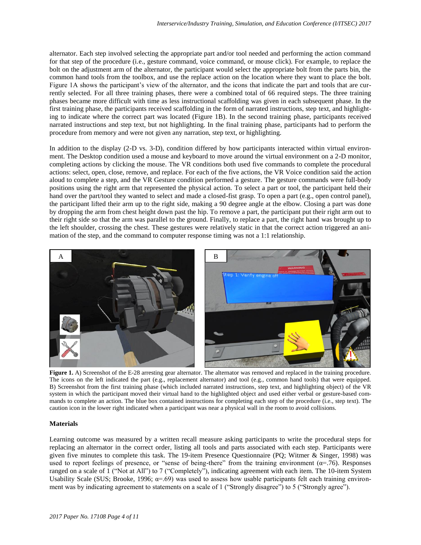alternator. Each step involved selecting the appropriate part and/or tool needed and performing the action command for that step of the procedure (i.e., gesture command, voice command, or mouse click). For example, to replace the bolt on the adjustment arm of the alternator, the participant would select the appropriate bolt from the parts bin, the common hand tools from the toolbox, and use the replace action on the location where they want to place the bolt. Figure 1A shows the participant's view of the alternator, and the icons that indicate the part and tools that are currently selected. For all three training phases, there were a combined total of 66 required steps. The three training phases became more difficult with time as less instructional scaffolding was given in each subsequent phase. In the first training phase, the participants received scaffolding in the form of narrated instructions, step text, and highlighting to indicate where the correct part was located (Figure 1B). In the second training phase, participants received narrated instructions and step text, but not highlighting. In the final training phase, participants had to perform the procedure from memory and were not given any narration, step text, or highlighting.

In addition to the display (2-D vs. 3-D), condition differed by how participants interacted within virtual environment. The Desktop condition used a mouse and keyboard to move around the virtual environment on a 2-D monitor, completing actions by clicking the mouse. The VR conditions both used five commands to complete the procedural actions: select, open, close, remove, and replace. For each of the five actions, the VR Voice condition said the action aloud to complete a step, and the VR Gesture condition performed a gesture. The gesture commands were full-body positions using the right arm that represented the physical action. To select a part or tool, the participant held their hand over the part/tool they wanted to select and made a closed-fist grasp. To open a part (e.g., open control panel), the participant lifted their arm up to the right side, making a 90 degree angle at the elbow. Closing a part was done by dropping the arm from chest height down past the hip. To remove a part, the participant put their right arm out to their right side so that the arm was parallel to the ground. Finally, to replace a part, the right hand was brought up to the left shoulder, crossing the chest. These gestures were relatively static in that the correct action triggered an animation of the step, and the command to computer response timing was not a 1:1 relationship.



**Figure 1.** A) Screenshot of the E-28 arresting gear alternator. The alternator was removed and replaced in the training procedure. The icons on the left indicated the part (e.g., replacement alternator) and tool (e.g., common hand tools) that were equipped. B) Screenshot from the first training phase (which included narrated instructions, step text, and highlighting object) of the VR system in which the participant moved their virtual hand to the highlighted object and used either verbal or gesture-based commands to complete an action. The blue box contained instructions for completing each step of the procedure (i.e., step text). The caution icon in the lower right indicated when a participant was near a physical wall in the room to avoid collisions.

## **Materials**

Learning outcome was measured by a written recall measure asking participants to write the procedural steps for replacing an alternator in the correct order, listing all tools and parts associated with each step. Participants were given five minutes to complete this task. The 19-item Presence Questionnaire (PQ; Witmer & Singer, 1998) was used to report feelings of presence, or "sense of being-there" from the training environment ( $\alpha$ =.76). Responses ranged on a scale of 1 ("Not at All") to 7 ("Completely"), indicating agreement with each item. The 10-item System Usability Scale (SUS; Brooke, 1996;  $\alpha = .69$ ) was used to assess how usable participants felt each training environment was by indicating agreement to statements on a scale of 1 ("Strongly disagree") to 5 ("Strongly agree").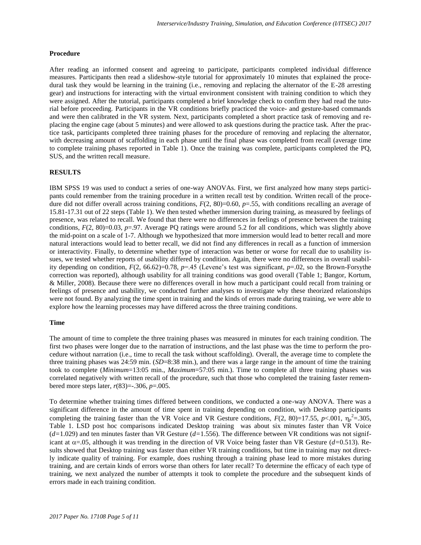#### **Procedure**

After reading an informed consent and agreeing to participate, participants completed individual difference measures. Participants then read a slideshow-style tutorial for approximately 10 minutes that explained the procedural task they would be learning in the training (i.e., removing and replacing the alternator of the E-28 arresting gear) and instructions for interacting with the virtual environment consistent with training condition to which they were assigned. After the tutorial, participants completed a brief knowledge check to confirm they had read the tutorial before proceeding. Participants in the VR conditions briefly practiced the voice- and gesture-based commands and were then calibrated in the VR system. Next, participants completed a short practice task of removing and replacing the engine cage (about 5 minutes) and were allowed to ask questions during the practice task. After the practice task, participants completed three training phases for the procedure of removing and replacing the alternator, with decreasing amount of scaffolding in each phase until the final phase was completed from recall (average time to complete training phases reported in Table 1). Once the training was complete, participants completed the PQ, SUS, and the written recall measure.

#### **RESULTS**

IBM SPSS 19 was used to conduct a series of one-way ANOVAs. First, we first analyzed how many steps participants could remember from the training procedure in a written recall test by condition. Written recall of the procedure did not differ overall across training conditions,  $F(2, 80) = 0.60$ ,  $p = .55$ , with conditions recalling an average of 15.81-17.31 out of 22 steps (Table 1). We then tested whether immersion during training, as measured by feelings of presence, was related to recall. We found that there were no differences in feelings of presence between the training conditions,  $F(2, 80)=0.03$ ,  $p=.97$ . Average PQ ratings were around 5.2 for all conditions, which was slightly above the mid-point on a scale of 1-7. Although we hypothesized that more immersion would lead to better recall and more natural interactions would lead to better recall, we did not find any differences in recall as a function of immersion or interactivity. Finally, to determine whether type of interaction was better or worse for recall due to usability issues, we tested whether reports of usability differed by condition. Again, there were no differences in overall usability depending on condition,  $F(2, 66.62)=0.78$ ,  $p=.45$  (Levene's test was significant,  $p=.02$ , so the Brown-Forsythe correction was reported), although usability for all training conditions was good overall (Table 1; Bangor, Kortum, & Miller, 2008). Because there were no differences overall in how much a participant could recall from training or feelings of presence and usability, we conducted further analyses to investigate why these theorized relationships were not found. By analyzing the time spent in training and the kinds of errors made during training, we were able to explore how the learning processes may have differed across the three training conditions.

#### **Time**

The amount of time to complete the three training phases was measured in minutes for each training condition. The first two phases were longer due to the narration of instructions, and the last phase was the time to perform the procedure without narration (i.e., time to recall the task without scaffolding). Overall, the average time to complete the three training phases was 24:59 min. (*SD*=8:38 min.), and there was a large range in the amount of time the training took to complete (*Minimum*=13:05 min., *Maximum*=57:05 min.). Time to complete all three training phases was correlated negatively with written recall of the procedure, such that those who completed the training faster remembered more steps later, *r*(83)=-.306, *p*=.005.

To determine whether training times differed between conditions, we conducted a one-way ANOVA. There was a significant difference in the amount of time spent in training depending on condition, with Desktop participants completing the training faster than the VR Voice and VR Gesture conditions,  $F(2, 80)=17.55$ ,  $p<.001$ ,  $\eta_p^2=.305$ , Table 1. LSD post hoc comparisons indicated Desktop training was about six minutes faster than VR Voice  $(d=1.029)$  and ten minutes faster than VR Gesture  $(d=1.556)$ . The difference between VR conditions was not significant at  $\alpha$ =.05, although it was trending in the direction of VR Voice being faster than VR Gesture ( $d$ =0.513). Results showed that Desktop training was faster than either VR training conditions, but time in training may not directly indicate quality of training. For example, does rushing through a training phase lead to more mistakes during training, and are certain kinds of errors worse than others for later recall? To determine the efficacy of each type of training, we next analyzed the number of attempts it took to complete the procedure and the subsequent kinds of errors made in each training condition.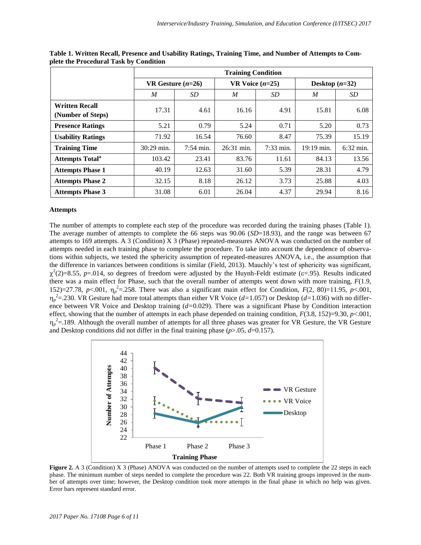|                                            | <b>Training Condition</b> |                     |                   |             |                  |                     |
|--------------------------------------------|---------------------------|---------------------|-------------------|-------------|------------------|---------------------|
|                                            | VR Gesture $(n=26)$       |                     | VR Voice $(n=25)$ |             | Desktop $(n=32)$ |                     |
|                                            | M                         | SD <sub>-</sub>     | M                 | SD          | $\boldsymbol{M}$ | SD                  |
| <b>Written Recall</b><br>(Number of Steps) | 17.31                     | 4.61                | 16.16             | 4.91        | 15.81            | 6.08                |
| <b>Presence Ratings</b>                    | 5.21                      | 0.79                | 5.24              | 0.71        | 5.20             | 0.73                |
| <b>Usability Ratings</b>                   | 71.92                     | 16.54               | 76.60             | 8.47        | 75.39            | 15.19               |
| <b>Training Time</b>                       | 30:29 min.                | $7:54 \text{ min.}$ | 26:31 min.        | $7:33$ min. | 19:19 min.       | $6:32 \text{ min.}$ |
| <b>Attempts Total<sup>a</sup></b>          | 103.42                    | 23.41               | 83.76             | 11.61       | 84.13            | 13.56               |
| <b>Attempts Phase 1</b>                    | 40.19                     | 12.63               | 31.60             | 5.39        | 28.31            | 4.79                |
| <b>Attempts Phase 2</b>                    | 32.15                     | 8.18                | 26.12             | 3.73        | 25.88            | 4.03                |
| <b>Attempts Phase 3</b>                    | 31.08                     | 6.01                | 26.04             | 4.37        | 29.94            | 8.16                |

**Table 1. Written Recall, Presence and Usability Ratings, Training Time, and Number of Attempts to Complete the Procedural Task by Condition**

#### **Attempts**

The number of attempts to complete each step of the procedure was recorded during the training phases (Table 1). The average number of attempts to complete the 66 steps was 90.06 (*SD*=18.93), and the range was between 67 attempts to 169 attempts. A 3 (Condition) X 3 (Phase) repeated-measures ANOVA was conducted on the number of attempts needed in each training phase to complete the procedure. To take into account the dependence of observations within subjects, we tested the sphericity assumption of repeated-measures ANOVA, i.e., the assumption that the difference in variances between conditions is similar (Field, 2013). Mauchly's test of sphericity was significant,  $\chi^2(2)=8.55$ ,  $p=.014$ , so degrees of freedom were adjusted by the Huynh-Feldt estimate ( $\varepsilon=.95$ ). Results indicated there was a main effect for Phase, such that the overall number of attempts went down with more training,  $F(1.9, 1.5)$ 152)=27.78, *p*<.001,  $\eta_p^2$ =.258. There was also a significant main effect for Condition, *F*(2, 80)=11.95, *p*<.001, *p* 2 =.230. VR Gesture had more total attempts than either VR Voice (*d=*1.057) or Desktop (*d=*1.036) with no difference between VR Voice and Desktop training (*d=*0.029). There was a significant Phase by Condition interaction effect, showing that the number of attempts in each phase depended on training condition, *F*(3.8, 152)=9.30, *p*<.001,  $\eta_p^2$ =.189. Although the overall number of attempts for all three phases was greater for VR Gesture, the VR Gesture and Desktop conditions did not differ in the final training phase  $(p>0.05, d=0.157)$ .



**Figure 2.** A 3 (Condition) X 3 (Phase) ANOVA was conducted on the number of attempts used to complete the 22 steps in each phase. The minimum number of steps needed to complete the procedure was 22. Both VR training groups improved in the number of attempts over time; however, the Desktop condition took more attempts in the final phase in which no help was given. Error bars represent standard error.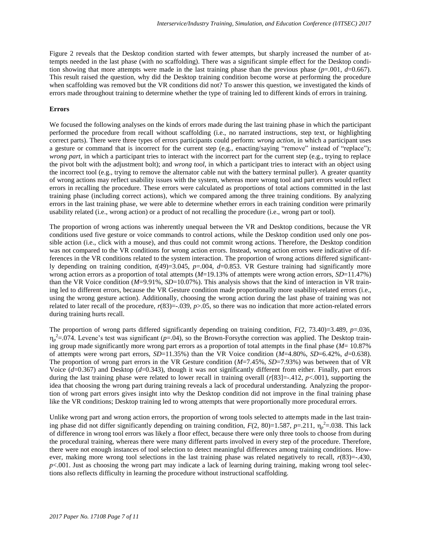Figure 2 reveals that the Desktop condition started with fewer attempts, but sharply increased the number of attempts needed in the last phase (with no scaffolding). There was a significant simple effect for the Desktop condition showing that more attempts were made in the last training phase than the previous phase  $(p=0.001, d=0.667)$ . This result raised the question, why did the Desktop training condition become worse at performing the procedure when scaffolding was removed but the VR conditions did not? To answer this question, we investigated the kinds of errors made throughout training to determine whether the type of training led to different kinds of errors in training.

## **Errors**

We focused the following analyses on the kinds of errors made during the last training phase in which the participant performed the procedure from recall without scaffolding (i.e., no narrated instructions, step text, or highlighting correct parts). There were three types of errors participants could perform: *wrong action*, in which a participant uses a gesture or command that is incorrect for the current step (e.g., enacting/saying "remove" instead of "replace"); *wrong part*, in which a participant tries to interact with the incorrect part for the current step (e.g., trying to replace the pivot bolt with the adjustment bolt); and *wrong tool*, in which a participant tries to interact with an object using the incorrect tool (e.g., trying to remove the alternator cable nut with the battery terminal puller). A greater quantity of wrong actions may reflect usability issues with the system, whereas more wrong tool and part errors would reflect errors in recalling the procedure. These errors were calculated as proportions of total actions committed in the last training phase (including correct actions), which we compared among the three training conditions. By analyzing errors in the last training phase, we were able to determine whether errors in each training condition were primarily usability related (i.e., wrong action) or a product of not recalling the procedure (i.e., wrong part or tool).

The proportion of wrong actions was inherently unequal between the VR and Desktop conditions, because the VR conditions used five gesture or voice commands to control actions, while the Desktop condition used only one possible action (i.e., click with a mouse), and thus could not commit wrong actions. Therefore, the Desktop condition was not compared to the VR conditions for wrong action errors. Instead, wrong action errors were indicative of differences in the VR conditions related to the system interaction. The proportion of wrong actions differed significantly depending on training condition, *t*(49)=3.045, *p*=.004, *d*=0.853. VR Gesture training had significantly more wrong action errors as a proportion of total attempts (*M*=19.13% of attempts were wrong action errors, *SD*=11.47%) than the VR Voice condition (*M*=9.91%, *SD*=10.07%). This analysis shows that the kind of interaction in VR training led to different errors, because the VR Gesture condition made proportionally more usability-related errors (i.e., using the wrong gesture action). Additionally, choosing the wrong action during the last phase of training was not related to later recall of the procedure,  $r(83) = .039$ ,  $p > .05$ , so there was no indication that more action-related errors during training hurts recall.

The proportion of wrong parts differed significantly depending on training condition, *F*(2, 73.40)=3.489, *p*=.036,  $\eta_p^2$ =.074. Levene's test was significant (*p*=.04), so the Brown-Forsythe correction was applied. The Desktop training group made significantly more wrong part errors as a proportion of total attempts in the final phase (*M*= 10.87% of attempts were wrong part errors, *SD*=11.35%) than the VR Voice condition (*M*=4.80%, *SD*=6.42%, *d*=0.638). The proportion of wrong part errors in the VR Gesture condition (*M*=7.45%, *SD*=7.93%) was between that of VR Voice (*d*=0.367) and Desktop (*d*=0.343), though it was not significantly different from either. Finally, part errors during the last training phase were related to lower recall in training overall (*r*[83]=-.412, *p*<.001), supporting the idea that choosing the wrong part during training reveals a lack of procedural understanding. Analyzing the proportion of wrong part errors gives insight into why the Desktop condition did not improve in the final training phase like the VR conditions; Desktop training led to wrong attempts that were proportionally more procedural errors.

Unlike wrong part and wrong action errors, the proportion of wrong tools selected to attempts made in the last training phase did not differ significantly depending on training condition,  $F(2, 80)=1.587$ ,  $p=.211$ ,  $\eta_p^2=.038$ . This lack of difference in wrong tool errors was likely a floor effect, because there were only three tools to choose from during the procedural training, whereas there were many different parts involved in every step of the procedure. Therefore, there were not enough instances of tool selection to detect meaningful differences among training conditions. However, making more wrong tool selections in the last training phase was related negatively to recall,  $r(83) = -0.430$ , *p*<.001. Just as choosing the wrong part may indicate a lack of learning during training, making wrong tool selections also reflects difficulty in learning the procedure without instructional scaffolding.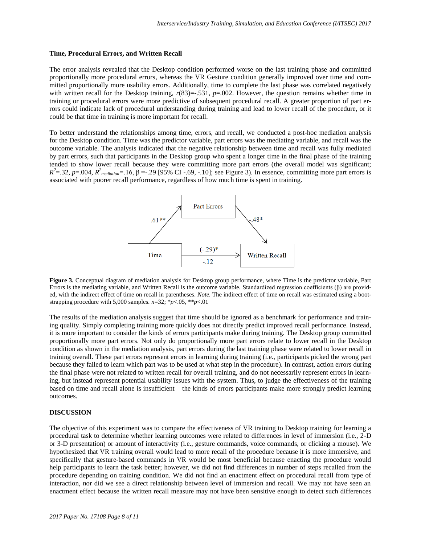#### **Time, Procedural Errors, and Written Recall**

The error analysis revealed that the Desktop condition performed worse on the last training phase and committed proportionally more procedural errors, whereas the VR Gesture condition generally improved over time and committed proportionally more usability errors. Additionally, time to complete the last phase was correlated negatively with written recall for the Desktop training,  $r(83) = -0.531$ ,  $p = 0.002$ . However, the question remains whether time in training or procedural errors were more predictive of subsequent procedural recall. A greater proportion of part errors could indicate lack of procedural understanding during training and lead to lower recall of the procedure, or it could be that time in training is more important for recall.

To better understand the relationships among time, errors, and recall, we conducted a post-hoc mediation analysis for the Desktop condition. Time was the predictor variable, part errors was the mediating variable, and recall was the outcome variable. The analysis indicated that the negative relationship between time and recall was fully mediated by part errors, such that participants in the Desktop group who spent a longer time in the final phase of the training tended to show lower recall because they were committing more part errors (the overall model was significant;  $R^2 = 0.32$ , *p*=.004,  $R^2$ <sub>mediation</sub>=.16, β = -.29 [95% CI -.69, -.10]; see Figure 3). In essence, committing more part errors is associated with poorer recall performance, regardless of how much time is spent in training.



**Figure 3.** Conceptual diagram of mediation analysis for Desktop group performance, where Time is the predictor variable, Part Errors is the mediating variable, and Written Recall is the outcome variable. Standardized regression coefficients (β) are provided, with the indirect effect of time on recall in parentheses. *Note.* The indirect effect of time on recall was estimated using a bootstrapping procedure with 5,000 samples*. n*=32; \**p*<.05, \*\**p*<.01

The results of the mediation analysis suggest that time should be ignored as a benchmark for performance and training quality. Simply completing training more quickly does not directly predict improved recall performance. Instead, it is more important to consider the kinds of errors participants make during training. The Desktop group committed proportionally more part errors. Not only do proportionally more part errors relate to lower recall in the Desktop condition as shown in the mediation analysis, part errors during the last training phase were related to lower recall in training overall. These part errors represent errors in learning during training (i.e., participants picked the wrong part because they failed to learn which part was to be used at what step in the procedure). In contrast, action errors during the final phase were not related to written recall for overall training, and do not necessarily represent errors in learning, but instead represent potential usability issues with the system. Thus, to judge the effectiveness of the training based on time and recall alone is insufficient – the kinds of errors participants make more strongly predict learning outcomes.

#### **DISCUSSION**

The objective of this experiment was to compare the effectiveness of VR training to Desktop training for learning a procedural task to determine whether learning outcomes were related to differences in level of immersion (i.e., 2-D or 3-D presentation) or amount of interactivity (i.e., gesture commands, voice commands, or clicking a mouse). We hypothesized that VR training overall would lead to more recall of the procedure because it is more immersive, and specifically that gesture-based commands in VR would be most beneficial because enacting the procedure would help participants to learn the task better; however, we did not find differences in number of steps recalled from the procedure depending on training condition. We did not find an enactment effect on procedural recall from type of interaction, nor did we see a direct relationship between level of immersion and recall. We may not have seen an enactment effect because the written recall measure may not have been sensitive enough to detect such differences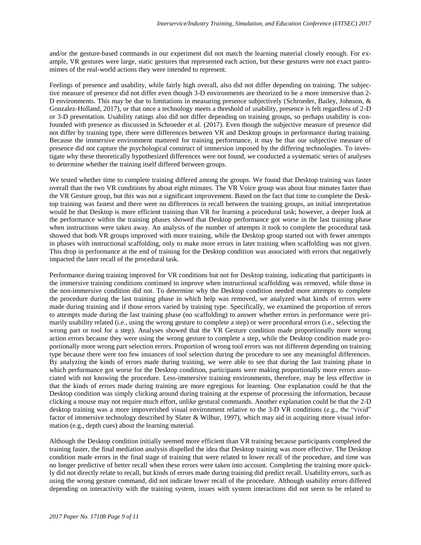and/or the gesture-based commands in our experiment did not match the learning material closely enough. For example, VR gestures were large, static gestures that represented each action, but these gestures were not exact pantomimes of the real-world actions they were intended to represent.

Feelings of presence and usability, while fairly high overall, also did not differ depending on training. The subjective measure of presence did not differ even though 3-D environments are theorized to be a more immersive than 2- D environments. This may be due to limitations in measuring presence subjectively (Schroeder, Bailey, Johnson, & Gonzalez-Holland, 2017), or that once a technology meets a threshold of usability, presence is felt regardless of 2-D or 3-D presentation. Usability ratings also did not differ depending on training groups, so perhaps usability is confounded with presence as discussed in Schroeder et al. (2017). Even though the subjective measure of presence did not differ by training type, there were differences between VR and Desktop groups in performance during training. Because the immersive environment mattered for training performance, it may be that our subjective measure of presence did not capture the psychological construct of immersion imposed by the differing technologies. To investigate why these theoretically hypothesized differences were not found, we conducted a systematic series of analyses to determine whether the training itself differed between groups.

We tested whether time to complete training differed among the groups. We found that Desktop training was faster overall than the two VR conditions by about eight minutes. The VR Voice group was about four minutes faster than the VR Gesture group, but this was not a significant improvement. Based on the fact that time to complete the Desktop training was fastest and there were no differences in recall between the training groups, an initial interpretation would be that Desktop is more efficient training than VR for learning a procedural task; however, a deeper look at the performance within the training phases showed that Desktop performance got worse in the last training phase when instructions were taken away. An analysis of the number of attempts it took to complete the procedural task showed that both VR groups improved with more training, while the Desktop group started out with fewer attempts in phases with instructional scaffolding, only to make more errors in later training when scaffolding was not given. This drop in performance at the end of training for the Desktop condition was associated with errors that negatively impacted the later recall of the procedural task.

Performance during training improved for VR conditions but not for Desktop training, indicating that participants in the immersive training conditions continued to improve when instructional scaffolding was removed, while those in the non-immersive condition did not. To determine why the Desktop condition needed more attempts to complete the procedure during the last training phase in which help was removed, we analyzed what kinds of errors were made during training and if those errors varied by training type. Specifically, we examined the proportion of errors to attempts made during the last training phase (no scaffolding) to answer whether errors in performance were primarily usability related (i.e., using the wrong gesture to complete a step) or were procedural errors (i.e., selecting the wrong part or tool for a step). Analyses showed that the VR Gesture condition made proportionally more wrong action errors because they were using the wrong gesture to complete a step, while the Desktop condition made proportionally more wrong part selection errors. Proportion of wrong tool errors was not different depending on training type because there were too few instances of tool selection during the procedure to see any meaningful differences. By analyzing the kinds of errors made during training, we were able to see that during the last training phase in which performance got worse for the Desktop condition, participants were making proportionally more errors associated with not knowing the procedure. Less-immersive training environments, therefore, may be less effective in that the kinds of errors made during training are more egregious for learning. One explanation could be that the Desktop condition was simply clicking around during training at the expense of processing the information, because clicking a mouse may not require much effort, unlike gestural commands. Another explanation could be that the 2-D desktop training was a more impoverished visual environment relative to the 3-D VR conditions (e.g., the "vivid" factor of immersive technology described by Slater & Wilbur, 1997), which may aid in acquiring more visual information (e.g., depth cues) about the learning material.

Although the Desktop condition initially seemed more efficient than VR training because participants completed the training faster, the final mediation analysis dispelled the idea that Desktop training was more effective. The Desktop condition made errors in the final stage of training that were related to lower recall of the procedure, and time was no longer predictive of better recall when these errors were taken into account. Completing the training more quickly did not directly relate to recall, but kinds of errors made during training did predict recall. Usability errors, such as using the wrong gesture command, did not indicate lower recall of the procedure. Although usability errors differed depending on interactivity with the training system, issues with system interactions did not seem to be related to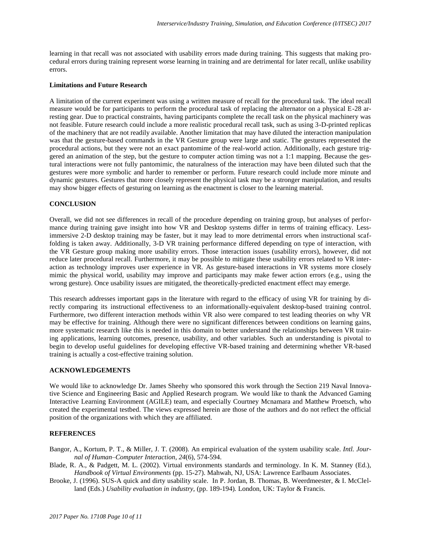learning in that recall was not associated with usability errors made during training. This suggests that making procedural errors during training represent worse learning in training and are detrimental for later recall, unlike usability errors.

#### **Limitations and Future Research**

A limitation of the current experiment was using a written measure of recall for the procedural task. The ideal recall measure would be for participants to perform the procedural task of replacing the alternator on a physical E-28 arresting gear. Due to practical constraints, having participants complete the recall task on the physical machinery was not feasible. Future research could include a more realistic procedural recall task, such as using 3-D-printed replicas of the machinery that are not readily available. Another limitation that may have diluted the interaction manipulation was that the gesture-based commands in the VR Gesture group were large and static. The gestures represented the procedural actions, but they were not an exact pantomime of the real-world action. Additionally, each gesture triggered an animation of the step, but the gesture to computer action timing was not a 1:1 mapping. Because the gestural interactions were not fully pantomimic, the naturalness of the interaction may have been diluted such that the gestures were more symbolic and harder to remember or perform. Future research could include more minute and dynamic gestures. Gestures that more closely represent the physical task may be a stronger manipulation, and results may show bigger effects of gesturing on learning as the enactment is closer to the learning material.

## **CONCLUSION**

Overall, we did not see differences in recall of the procedure depending on training group, but analyses of performance during training gave insight into how VR and Desktop systems differ in terms of training efficacy. Lessimmersive 2-D desktop training may be faster, but it may lead to more detrimental errors when instructional scaffolding is taken away. Additionally, 3-D VR training performance differed depending on type of interaction, with the VR Gesture group making more usability errors. Those interaction issues (usability errors), however, did not reduce later procedural recall. Furthermore, it may be possible to mitigate these usability errors related to VR interaction as technology improves user experience in VR. As gesture-based interactions in VR systems more closely mimic the physical world, usability may improve and participants may make fewer action errors (e.g., using the wrong gesture). Once usability issues are mitigated, the theoretically-predicted enactment effect may emerge.

This research addresses important gaps in the literature with regard to the efficacy of using VR for training by directly comparing its instructional effectiveness to an informationally-equivalent desktop-based training control. Furthermore, two different interaction methods within VR also were compared to test leading theories on why VR may be effective for training. Although there were no significant differences between conditions on learning gains, more systematic research like this is needed in this domain to better understand the relationships between VR training applications, learning outcomes, presence, usability, and other variables. Such an understanding is pivotal to begin to develop useful guidelines for developing effective VR-based training and determining whether VR-based training is actually a cost-effective training solution.

#### **ACKNOWLEDGEMENTS**

We would like to acknowledge Dr. James Sheehy who sponsored this work through the Section 219 Naval Innovative Science and Engineering Basic and Applied Research program. We would like to thank the Advanced Gaming Interactive Learning Environment (AGILE) team, and especially Courtney Mcnamara and Matthew Proetsch, who created the experimental testbed. The views expressed herein are those of the authors and do not reflect the official position of the organizations with which they are affiliated.

## **REFERENCES**

- Bangor, A., Kortum, P. T., & Miller, J. T. (2008). An empirical evaluation of the system usability scale. *Intl. Journal of Human–Computer Interaction*, *24*(6), 574-594.
- Blade, R. A., & Padgett, M. L. (2002). Virtual environments standards and terminology. In K. M. Stanney (Ed.), *Handbook of Virtual Environments* (pp. 15-27). Mahwah, NJ, USA: Lawrence Earlbaum Associates.
- Brooke, J. (1996). SUS-A quick and dirty usability scale. In P. Jordan, B. Thomas, B. Weerdmeester, & I. McClelland (Eds.) *Usability evaluation in industry,* (pp. 189-194)*.* London, UK: Taylor & Francis.